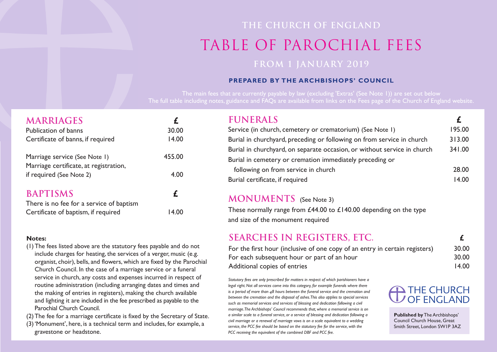## **THE CHURCH OF ENGLAND** table of PAROCHIAL FEES **FROM 1 JANUARY 2019**

### **PrePared by the archbishoPs' couNcil**

The main fees that are currently payable by law (excluding 'Extras' (See Note 1)) are set out below The full table including notes, guidance and FAQs are available from links on the Fees page of the Church of England website.

| <b>MARRIAGES</b>                         |        |
|------------------------------------------|--------|
| <b>Publication of banns</b>              | 30.00  |
| Certificate of banns, if required        | 14.00  |
| Marriage service (See Note I)            | 455.00 |
| Marriage certificate, at registration,   |        |
| if required (See Note 2)                 | 4.00   |
| <b>BAPTISMS</b>                          | £      |
| There is no fee for a service of baptism |        |
| Certificate of baptism, if required      | 14.00  |

## **SEARCHES IN REGISTERS, ETC. £**

For the first hour (inclusive of one copy of an entry in certain registers) 30.00 For each subsequent hour or part of an hour 30.00 Additional copies of entries 14.00

### **Notes:**

- (1)The fees listed above are the statutory fees payable and do not include charges for heating, the services of a verger, music (e.g. organist, choir), bells, and flowers, which are fixed by the Parochial Church Council. In the case of a marriage service or a funeral service in church, any costs and expenses incurred in respect of routine administration (including arranging dates and times and the making of entries in registers), making the church available and lighting it are included in the fee prescribed as payable to the Parochial Church Council.
- (2)The fee for a marriage certificate is fixed by the Secretary of State.
- (3)'Monument', here, is a technical term and includes, for example, a gravestone or headstone.

## $$

Service (in church, cemetery or crematorium) (See Note 1) Burial in churchyard, preceding or following on from Burial in churchyard, on separate occasion, or witho Burial in cemetery or cremation immediately preced following on from service in church Burial certificate, if required 14.00

> **Published by** The Archbishops' Council Church House, Great Smith Street, London SW1P 3AZ

### **MONUMENTS** (See Note 3)

These normally range from £44.00 to £140.00 depending on the type and size of the monument required

*Statutory fees are only prescribed for matters in respect of which parishioners have a legal right. Not all services come into this category, for example funerals where there is a period of more than 48 hours between the funeral service and the cremation and between the cremation and the disposal of ashes.This also applies to special services such as memorial services and services of blessing and dedication following a civil marriage.The Archbishops' Council recommends that, where a memorial service is on a similar scale to a funeral service, or a service of blessing and dedication following a civil marriage or a renewal of marriage vows is on a scale equivalent to a wedding service, the PCC fee should be based on the statutory fee for the service, with the PCC receiving the equivalent of the combined DBF and PCC fee.*

|                      | £      |
|----------------------|--------|
| Note I)              | 195.00 |
| service in church    | 313.00 |
| ut service in church | 341.00 |
| ding or              |        |
|                      | 28.00  |

# **D** THE CHURCH